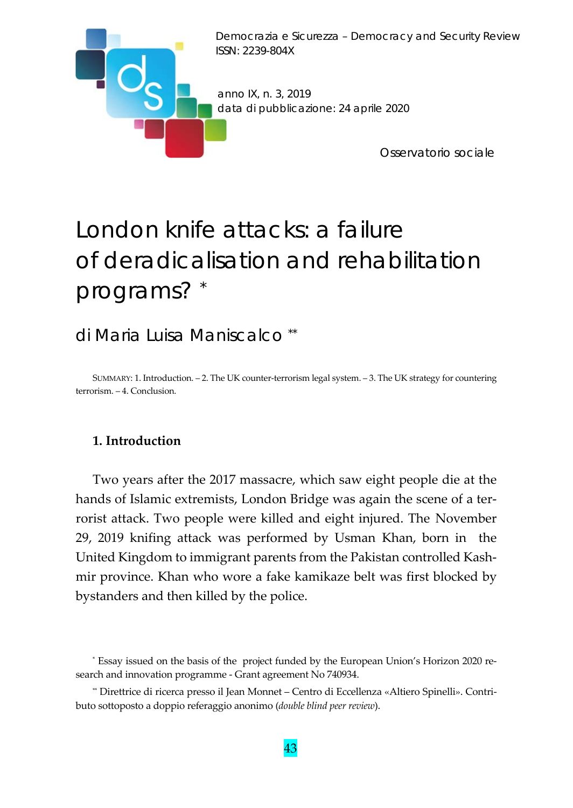

# London knife attacks: a failure of deradicalisation and rehabilitation programs? \*

# di Maria Luisa Maniscalco \*\*

SUMMARY: 1. Introduction. – 2. The UK counter‐terrorism legal system. – 3. The UK strategy for countering terrorism. – 4. Conclusion.

## **1. Introduction**

Two years after the 2017 massacre, which saw eight people die at the hands of Islamic extremists, London Bridge was again the scene of a terrorist attack. Two people were killed and eight injured. The November 29, 2019 knifing attack was performed by Usman Khan, born in the United Kingdom to immigrant parents from the Pakistan controlled Kash‐ mir province. Khan who wore a fake kamikaze belt was first blocked by bystanders and then killed by the police.

<sup>\*</sup> Essay issued on the basis of the project funded by the European Union's Horizon 2020 re‐ search and innovation programme ‐ Grant agreement No 740934.

<sup>\*\*</sup> Direttrice di ricerca presso il Jean Monnet – Centro di Eccellenza «Altiero Spinelli». Contri‐ buto sottoposto a doppio referaggio anonimo (*double blind peer review*).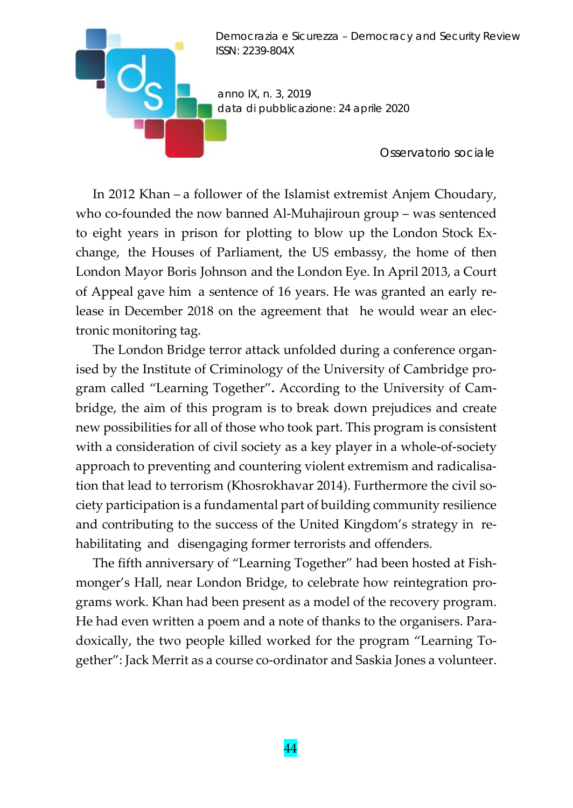

In 2012 Khan – a follower of the Islamist extremist Anjem Choudary, who co-founded the now banned Al-Muhajiroun group – was sentenced to eight years in prison for plotting to blow up the London Stock Ex‐ change, the Houses of Parliament, the US embassy, the home of then London Mayor Boris Johnson and the London Eye. In April 2013, a Court of Appeal gave him a sentence of 16 years. He was granted an early re‐ lease in December 2018 on the agreement that he would wear an electronic monitoring tag.

The London Bridge terror attack unfolded during a conference organised by the Institute of Criminology of the University of Cambridge pro‐ gram called "Learning Together"**.** According to the University of Cam‐ bridge, the aim of this program is to break down prejudices and create new possibilities for all of those who took part. This program is consistent with a consideration of civil society as a key player in a whole-of-society approach to preventing and countering violent extremism and radicalisa‐ tion that lead to terrorism (Khosrokhavar 2014). Furthermore the civil society participation is a fundamental part of building community resilience and contributing to the success of the United Kingdom's strategy in re‐ habilitating and disengaging former terrorists and offenders.

The fifth anniversary of "Learning Together" had been hosted at Fish‐ monger's Hall, near London Bridge, to celebrate how reintegration pro‐ grams work. Khan had been present as a model of the recovery program. He had even written a poem and a note of thanks to the organisers. Paradoxically, the two people killed worked for the program "Learning To‐ gether": Jack Merrit as a course co‐ordinator and Saskia Jones a volunteer.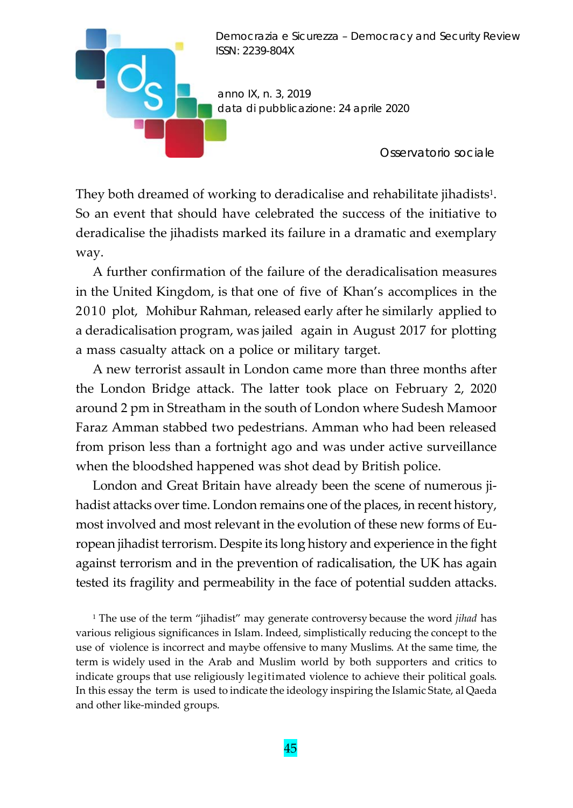

They both dreamed of working to deradicalise and rehabilitate jihadists<sup>1</sup>. So an event that should have celebrated the success of the initiative to deradicalise the jihadists marked its failure in a dramatic and exemplary way.

A further confirmation of the failure of the deradicalisation measures in the United Kingdom, is that one of five of Khan's accomplices in the 2010 plot, Mohibur Rahman, released early after he similarly applied to a deradicalisation program, was jailed again in August 2017 for plotting a mass casualty attack on a police or military target.

A new terrorist assault in London came more than three months after the London Bridge attack. The latter took place on February 2, 2020 around 2 pm in Streatham in the south of London where Sudesh Mamoor Faraz Amman stabbed two pedestrians. Amman who had been released from prison less than a fortnight ago and was under active surveillance when the bloodshed happened was shot dead by British police.

London and Great Britain have already been the scene of numerous jihadist attacks over time. London remains one of the places, in recent history, most involved and most relevant in the evolution of these new forms of European jihadist terrorism. Despite its long history and experience in the fight against terrorism and in the prevention of radicalisation, the UK has again tested its fragility and permeability in the face of potential sudden attacks.

<sup>1</sup> The use of the term "jihadist" may generate controversy because the word *jihad* has various religious significances in Islam. Indeed, simplistically reducing the concept to the use of violence is incorrect and maybe offensive to many Muslims. At the same time, the term is widely used in the Arab and Muslim world by both supporters and critics to indicate groups that use religiously legitimated violence to achieve their political goals. In this essay the term is used to indicate the ideology inspiring the Islamic State, al Qaeda and other like‐minded groups.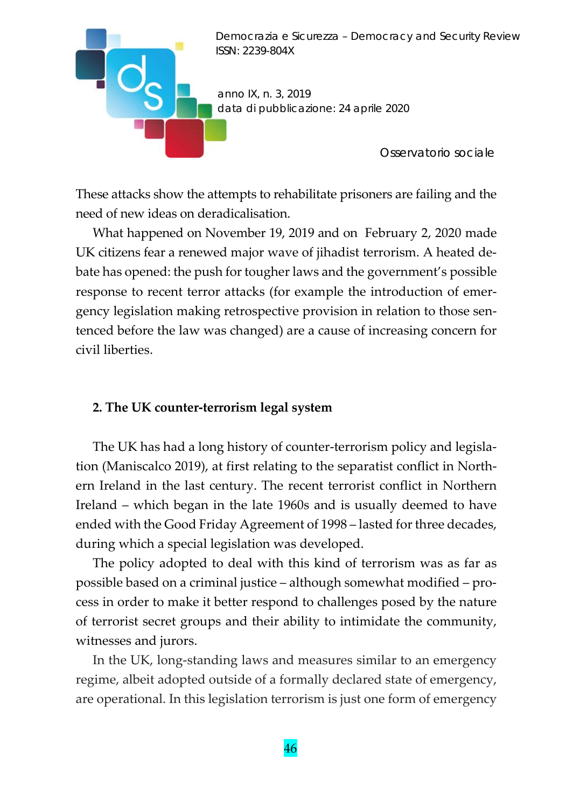

These attacks show the attempts to rehabilitate prisoners are failing and the need of new ideas on deradicalisation.

What happened on November 19, 2019 and on February 2, 2020 made UK citizens fear a renewed major wave of jihadist terrorism. A heated de‐ bate has opened: the push for tougher laws and the government's possible response to recent terror attacks (for example the introduction of emergency legislation making retrospective provision in relation to those sen‐ tenced before the law was changed) are a cause of increasing concern for civil liberties.

#### **2. The UK counter‐terrorism legal system**

The UK has had a long history of counter-terrorism policy and legislation (Maniscalco 2019), at first relating to the separatist conflict in North‐ ern Ireland in the last century. The recent terrorist conflict in Northern Ireland – which began in the late 1960s and is usually deemed to have ended with the Good Friday Agreement of 1998 – lasted for three decades, during which a special legislation was developed.

The policy adopted to deal with this kind of terrorism was as far as possible based on a criminal justice – although somewhat modified – pro‐ cess in order to make it better respond to challenges posed by the nature of terrorist secret groups and their ability to intimidate the community, witnesses and jurors.

In the UK, long‐standing laws and measures similar to an emergency regime, albeit adopted outside of a formally declared state of emergency, are operational. In this legislation terrorism is just one form of emergency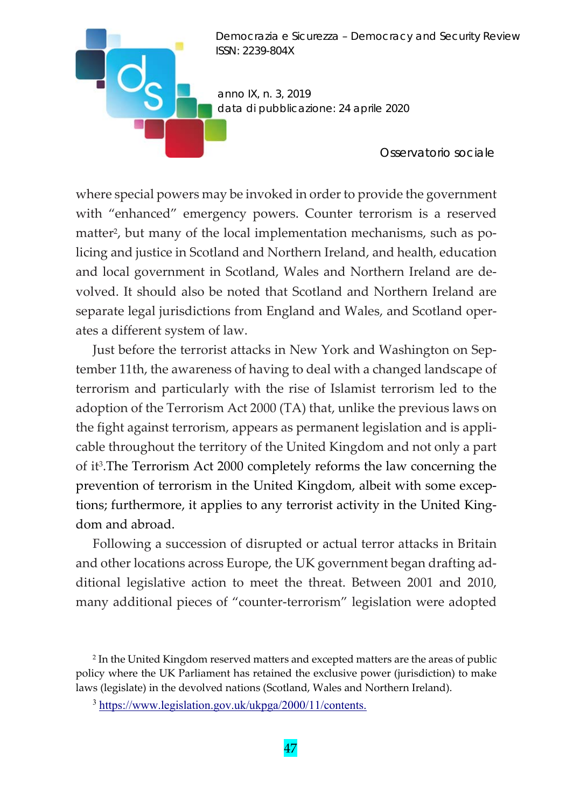

 $\blacksquare$ 

*Osservatorio sociale* 

where special powers may be invoked in order to provide the government with "enhanced" emergency powers. Counter terrorism is a reserved matter<sup>2</sup>, but many of the local implementation mechanisms, such as policing and justice in Scotland and Northern Ireland, and health, education and local government in Scotland, Wales and Northern Ireland are de‐ volved. It should also be noted that Scotland and Northern Ireland are separate legal jurisdictions from England and Wales, and Scotland oper‐ ates a different system of law.

Just before the terrorist attacks in New York and Washington on Sep‐ tember 11th, the awareness of having to deal with a changed landscape of terrorism and particularly with the rise of Islamist terrorism led to the adoption of the Terrorism Act 2000 (TA) that, unlike the previous laws on the fight against terrorism, appears as permanent legislation and is appli‐ cable throughout the territory of the United Kingdom and not only a part of it3.The Terrorism Act 2000 completely reforms the law concerning the prevention of terrorism in the United Kingdom, albeit with some excep‐ tions; furthermore, it applies to any terrorist activity in the United King‐ dom and abroad.

Following a succession of disrupted or actual terror attacks in Britain and other locations across Europe, the UK government began drafting ad‐ ditional legislative action to meet the threat. Between 2001 and 2010, many additional pieces of "counter-terrorism" legislation were adopted

<sup>2</sup> In the United Kingdom reserved matters and excepted matters are the areas of public policy where the UK Parliament has retained the exclusive power (jurisdiction) to make laws (legislate) in the devolved nations (Scotland, Wales and Northern Ireland).

<sup>3</sup> https://www.legislation.gov.uk/ukpga/2000/11/contents.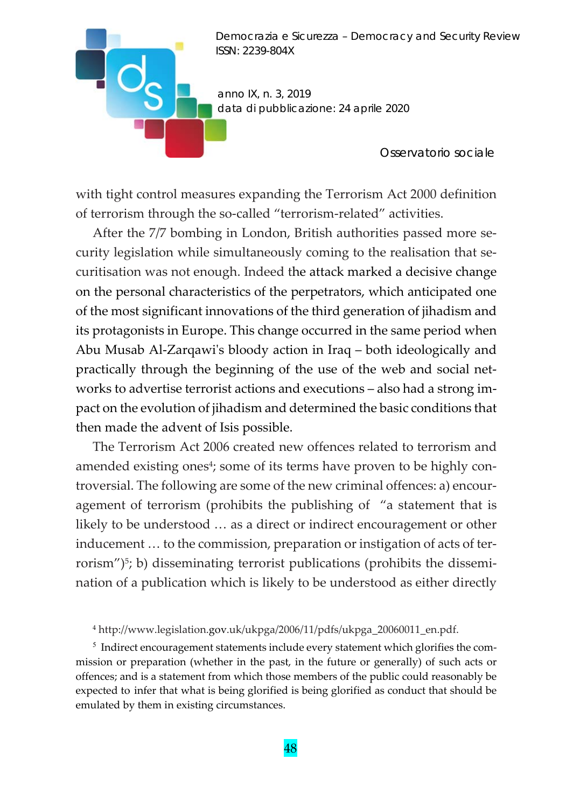

*Osservatorio sociale* 

with tight control measures expanding the Terrorism Act 2000 definition of terrorism through the so-called "terrorism-related" activities.

**D** 

After the 7/7 bombing in London, British authorities passed more security legislation while simultaneously coming to the realisation that securitisation was not enough. Indeed the attack marked a decisive change on the personal characteristics of the perpetrators, which anticipated one of the most significant innovations of the third generation of jihadism and its protagonists in Europe. This change occurred in the same period when Abu Musab Al‐Zarqawiʹs bloody action in Iraq – both ideologically and practically through the beginning of the use of the web and social net‐ works to advertise terrorist actions and executions – also had a strong im‐ pact on the evolution of jihadism and determined the basic conditions that then made the advent of Isis possible.

The Terrorism Act 2006 created new offences related to terrorism and amended existing ones<sup>4</sup>; some of its terms have proven to be highly controversial. The following are some of the new criminal offences: a) encour‐ agement of terrorism (prohibits the publishing of "a statement that is likely to be understood … as a direct or indirect encouragement or other inducement ... to the commission, preparation or instigation of acts of terrorism") $5$ ; b) disseminating terrorist publications (prohibits the dissemination of a publication which is likely to be understood as either directly

<sup>4</sup> http://www.legislation.gov.uk/ukpga/2006/11/pdfs/ukpga\_20060011\_en.pdf.

<sup>5</sup> Indirect encouragement statements include every statement which glorifies the commission or preparation (whether in the past, in the future or generally) of such acts or offences; and is a statement from which those members of the public could reasonably be expected to infer that what is being glorified is being glorified as conduct that should be emulated by them in existing circumstances.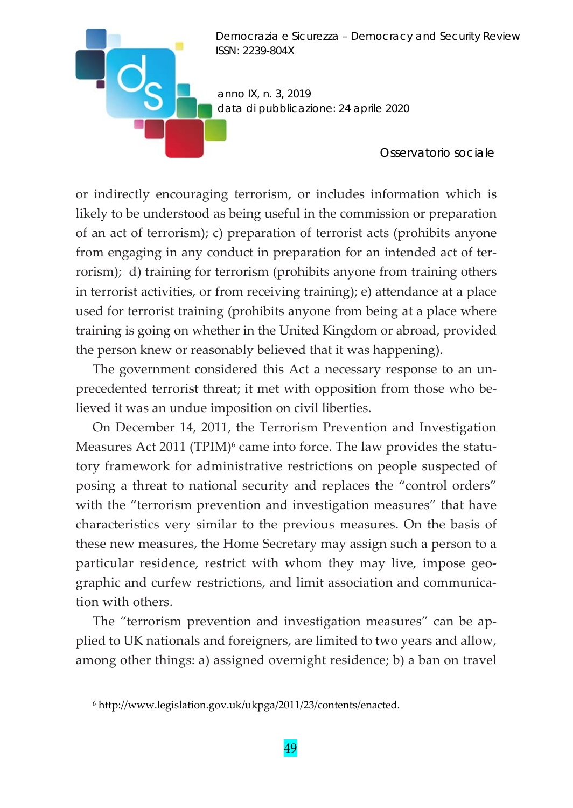*anno IX, n. 3, 2019 data di pubblicazione: 24 aprile 2020* 

*Osservatorio sociale* 

or indirectly encouraging terrorism, or includes information which is likely to be understood as being useful in the commission or preparation of an act of terrorism); c) preparation of terrorist acts (prohibits anyone from engaging in any conduct in preparation for an intended act of ter‐ rorism); d) training for terrorism (prohibits anyone from training others in terrorist activities, or from receiving training); e) attendance at a place used for terrorist training (prohibits anyone from being at a place where training is going on whether in the United Kingdom or abroad, provided the person knew or reasonably believed that it was happening).

The government considered this Act a necessary response to an unprecedented terrorist threat; it met with opposition from those who be‐ lieved it was an undue imposition on civil liberties.

On December 14, 2011, the Terrorism Prevention and Investigation Measures Act 2011 (TPIM)<sup>6</sup> came into force. The law provides the statutory framework for administrative restrictions on people suspected of posing a threat to national security and replaces the "control orders" with the "terrorism prevention and investigation measures" that have characteristics very similar to the previous measures. On the basis of these new measures, the Home Secretary may assign such a person to a particular residence, restrict with whom they may live, impose geographic and curfew restrictions, and limit association and communication with others.

The "terrorism prevention and investigation measures" can be applied to UK nationals and foreigners, are limited to two years and allow, among other things: a) assigned overnight residence; b) a ban on travel

<sup>6</sup> http://www.legislation.gov.uk/ukpga/2011/23/contents/enacted.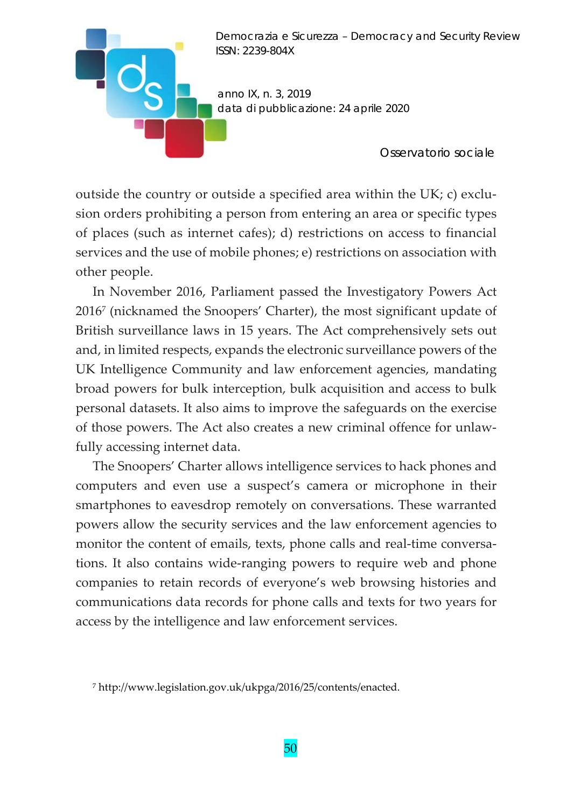

outside the country or outside a specified area within the UK; c) exclu‐ sion orders prohibiting a person from entering an area or specific types of places (such as internet cafes); d) restrictions on access to financial services and the use of mobile phones; e) restrictions on association with other people.

In November 2016, Parliament passed the Investigatory Powers Act 20167 (nicknamed the Snoopers' Charter), the most significant update of British surveillance laws in 15 years. The Act comprehensively sets out and, in limited respects, expands the electronic surveillance powers of the UK Intelligence Community and law enforcement agencies, mandating broad powers for bulk interception, bulk acquisition and access to bulk personal datasets. It also aims to improve the safeguards on the exercise of those powers. The Act also creates a new criminal offence for unlaw‐ fully accessing internet data.

The Snoopers' Charter allows intelligence services to hack phones and computers and even use a suspect's camera or microphone in their smartphones to eavesdrop remotely on conversations. These warranted powers allow the security services and the law enforcement agencies to monitor the content of emails, texts, phone calls and real-time conversations. It also contains wide‐ranging powers to require web and phone companies to retain records of everyone's web browsing histories and communications data records for phone calls and texts for two years for access by the intelligence and law enforcement services.

<sup>7</sup> http://www.legislation.gov.uk/ukpga/2016/25/contents/enacted.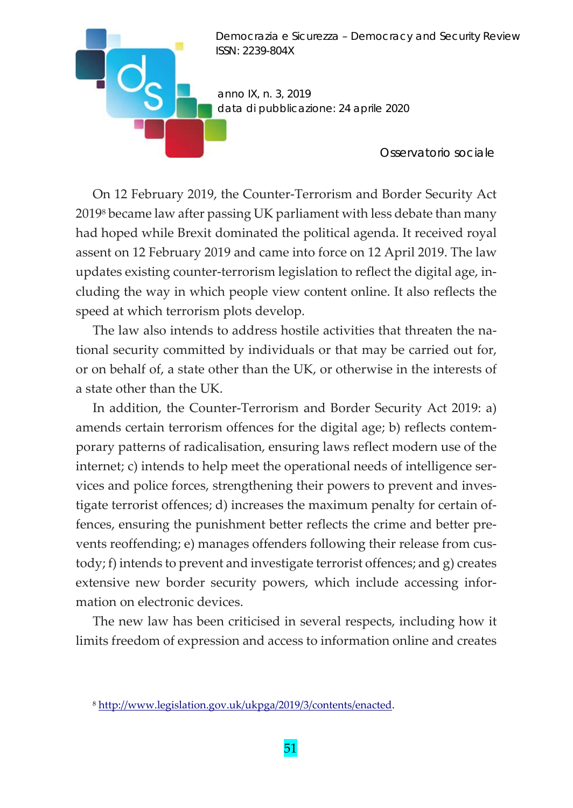

*Osservatorio sociale* 

On 12 February 2019, the Counter‐Terrorism and Border Security Act 20198 became law after passing UK parliament with less debate than many had hoped while Brexit dominated the political agenda. It received royal assent on 12 February 2019 and came into force on 12 April 2019. The law updates existing counter‐terrorism legislation to reflect the digital age, in‐ cluding the way in which people view content online. It also reflects the speed at which terrorism plots develop.

The law also intends to address hostile activities that threaten the national security committed by individuals or that may be carried out for, or on behalf of, a state other than the UK, or otherwise in the interests of a state other than the UK.

In addition, the Counter‐Terrorism and Border Security Act 2019: a) amends certain terrorism offences for the digital age; b) reflects contem‐ porary patterns of radicalisation, ensuring laws reflect modern use of the internet; c) intends to help meet the operational needs of intelligence services and police forces, strengthening their powers to prevent and inves‐ tigate terrorist offences; d) increases the maximum penalty for certain of‐ fences, ensuring the punishment better reflects the crime and better prevents reoffending; e) manages offenders following their release from custody; f) intends to prevent and investigate terrorist offences; and g) creates extensive new border security powers, which include accessing information on electronic devices.

The new law has been criticised in several respects, including how it limits freedom of expression and access to information online and creates

<sup>8</sup> http://www.legislation.gov.uk/ukpga/2019/3/contents/enacted.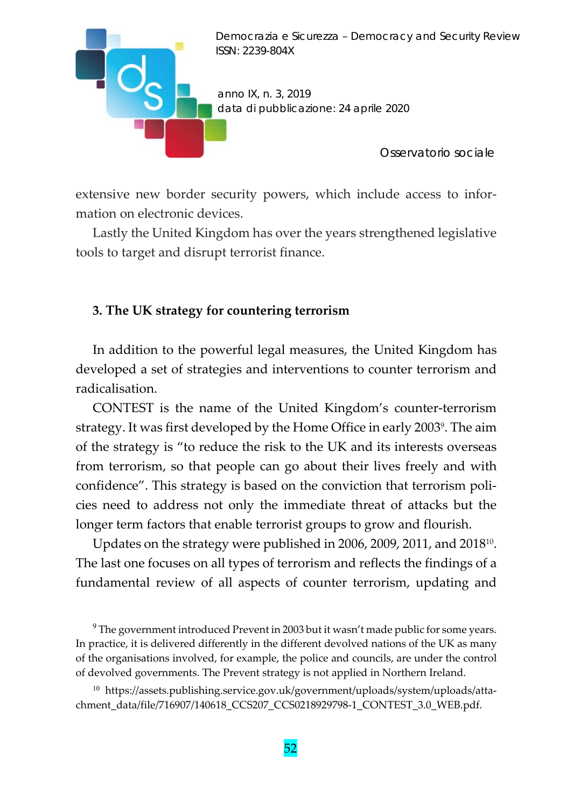

extensive new border security powers, which include access to information on electronic devices.

Lastly the United Kingdom has over the years strengthened legislative tools to target and disrupt terrorist finance.

#### **3. The UK strategy for countering terrorism**

In addition to the powerful legal measures, the United Kingdom has developed a set of strategies and interventions to counter terrorism and radicalisation.

CONTEST is the name of the United Kingdom's counter‐terrorism strategy. It was first developed by the Home Office in early 20039. The aim of the strategy is "to reduce the risk to the UK and its interests overseas from terrorism, so that people can go about their lives freely and with confidence". This strategy is based on the conviction that terrorism policies need to address not only the immediate threat of attacks but the longer term factors that enable terrorist groups to grow and flourish.

Updates on the strategy were published in 2006, 2009, 2011, and 2018<sup>10</sup>. The last one focuses on all types of terrorism and reflects the findings of a fundamental review of all aspects of counter terrorism, updating and

<sup>9</sup> The government introduced Prevent in 2003 but it wasn't made public for some years. In practice, it is delivered differently in the different devolved nations of the UK as many of the organisations involved, for example, the police and councils, are under the control of devolved governments. The Prevent strategy is not applied in Northern Ireland.

<sup>10</sup> https://assets.publishing.service.gov.uk/government/uploads/system/uploads/attachment\_data/file/716907/140618\_CCS207\_CCS0218929798‐1\_CONTEST\_3.0\_WEB.pdf.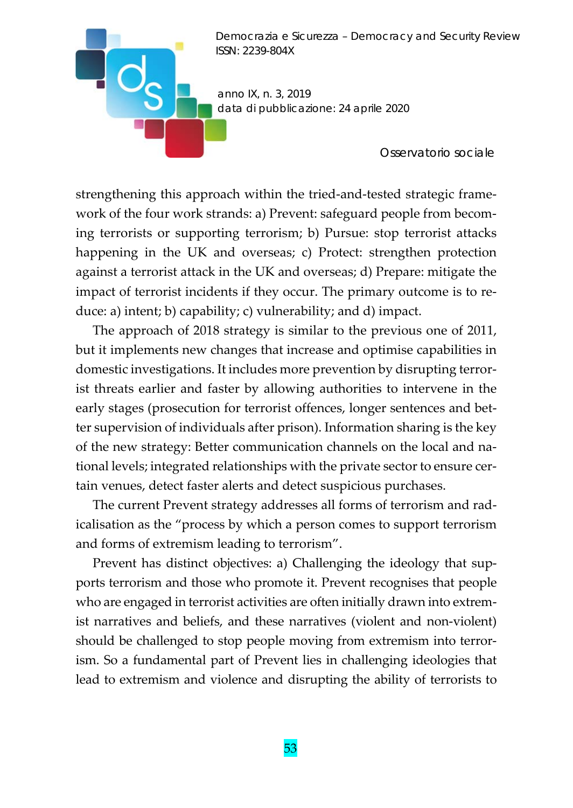*anno IX, n. 3, 2019 data di pubblicazione: 24 aprile 2020* 

 $\overline{\phantom{a}}$ d

*Osservatorio sociale* 

strengthening this approach within the tried-and-tested strategic frame work of the four work strands: a) Prevent: safeguard people from becoming terrorists or supporting terrorism; b) Pursue: stop terrorist attacks happening in the UK and overseas; c) Protect: strengthen protection against a terrorist attack in the UK and overseas; d) Prepare: mitigate the impact of terrorist incidents if they occur. The primary outcome is to reduce: a) intent; b) capability; c) vulnerability; and d) impact.

The approach of 2018 strategy is similar to the previous one of 2011, but it implements new changes that increase and optimise capabilities in domestic investigations. It includes more prevention by disrupting terror‐ ist threats earlier and faster by allowing authorities to intervene in the early stages (prosecution for terrorist offences, longer sentences and better supervision of individuals after prison). Information sharing is the key of the new strategy: Better communication channels on the local and na‐ tional levels; integrated relationships with the private sector to ensure certain venues, detect faster alerts and detect suspicious purchases.

The current Prevent strategy addresses all forms of terrorism and rad‐ icalisation as the "process by which a person comes to support terrorism and forms of extremism leading to terrorism".

Prevent has distinct objectives: a) Challenging the ideology that supports terrorism and those who promote it. Prevent recognises that people who are engaged in terrorist activities are often initially drawn into extremist narratives and beliefs, and these narratives (violent and non‐violent) should be challenged to stop people moving from extremism into terror‐ ism. So a fundamental part of Prevent lies in challenging ideologies that lead to extremism and violence and disrupting the ability of terrorists to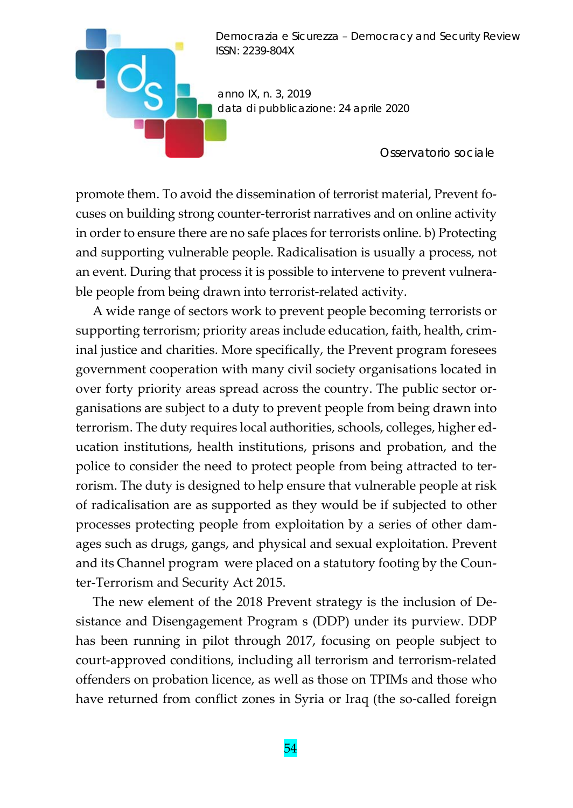*anno IX, n. 3, 2019 data di pubblicazione: 24 aprile 2020* 

*Osservatorio sociale* 

promote them. To avoid the dissemination of terrorist material, Prevent focuses on building strong counter‐terrorist narratives and on online activity in order to ensure there are no safe places for terrorists online. b) Protecting and supporting vulnerable people. Radicalisation is usually a process, not an event. During that process it is possible to intervene to prevent vulnera‐ ble people from being drawn into terrorist-related activity.

A wide range of sectors work to prevent people becoming terrorists or supporting terrorism; priority areas include education, faith, health, crim‐ inal justice and charities. More specifically, the Prevent program foresees government cooperation with many civil society organisations located in over forty priority areas spread across the country. The public sector or‐ ganisations are subject to a duty to prevent people from being drawn into terrorism. The duty requires local authorities, schools, colleges, higher ed‐ ucation institutions, health institutions, prisons and probation, and the police to consider the need to protect people from being attracted to ter‐ rorism. The duty is designed to help ensure that vulnerable people at risk of radicalisation are as supported as they would be if subjected to other processes protecting people from exploitation by a series of other dam‐ ages such as drugs, gangs, and physical and sexual exploitation. Prevent and its Channel program were placed on a statutory footing by the Coun‐ ter‐Terrorism and Security Act 2015.

The new element of the 2018 Prevent strategy is the inclusion of De‐ sistance and Disengagement Program s (DDP) under its purview. DDP has been running in pilot through 2017, focusing on people subject to court‐approved conditions, including all terrorism and terrorism‐related offenders on probation licence, as well as those on TPIMs and those who have returned from conflict zones in Syria or Iraq (the so-called foreign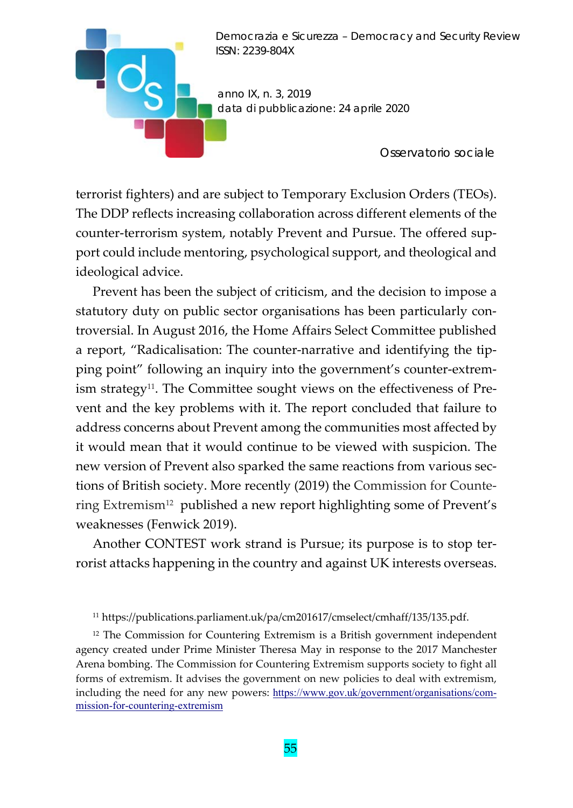

*Osservatorio sociale* 

terrorist fighters) and are subject to Temporary Exclusion Orders (TEOs). The DDP reflects increasing collaboration across different elements of the counter-terrorism system, notably Prevent and Pursue. The offered support could include mentoring, psychological support, and theological and ideological advice.

**D** 

Prevent has been the subject of criticism, and the decision to impose a statutory duty on public sector organisations has been particularly controversial. In August 2016, the Home Affairs Select Committee published a report, "Radicalisation: The counter‐narrative and identifying the tip‐ ping point" following an inquiry into the government's counter‐extrem‐ ism strategy<sup>11</sup>. The Committee sought views on the effectiveness of Prevent and the key problems with it. The report concluded that failure to address concerns about Prevent among the communities most affected by it would mean that it would continue to be viewed with suspicion. The new version of Prevent also sparked the same reactions from various sec‐ tions of British society. More recently (2019) the Commission for Counte‐ ring Extremism12 published a new report highlighting some of Prevent's weaknesses (Fenwick 2019).

Another CONTEST work strand is Pursue; its purpose is to stop ter‐ rorist attacks happening in the country and against UK interests overseas.

<sup>12</sup> The Commission for Countering Extremism is a British government independent agency created under Prime Minister Theresa May in response to the 2017 Manchester Arena bombing. The Commission for Countering Extremism supports society to fight all forms of extremism. It advises the government on new policies to deal with extremism, including the need for any new powers: https://www.gov.uk/government/organisations/commission-for-countering-extremism

<sup>11</sup> https://publications.parliament.uk/pa/cm201617/cmselect/cmhaff/135/135.pdf.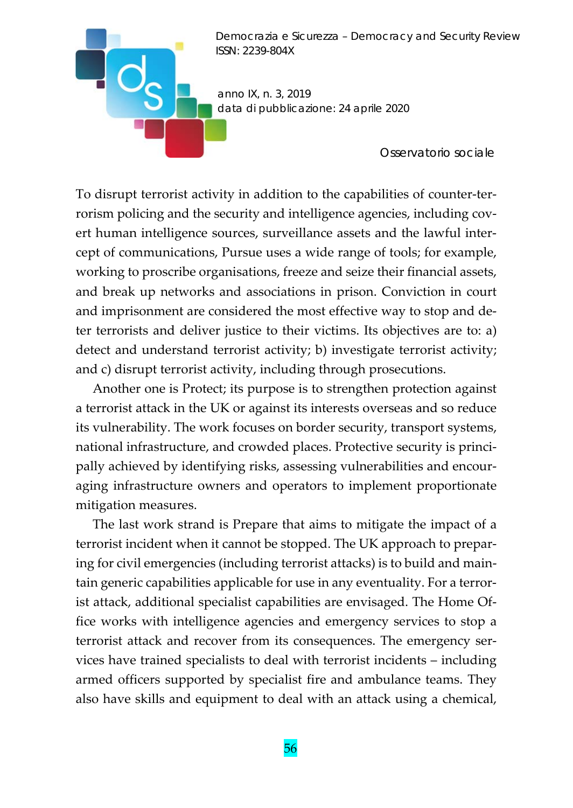*anno IX, n. 3, 2019 data di pubblicazione: 24 aprile 2020* 

*Osservatorio sociale* 

To disrupt terrorist activity in addition to the capabilities of counter‐ter‐ rorism policing and the security and intelligence agencies, including covert human intelligence sources, surveillance assets and the lawful inter‐ cept of communications, Pursue uses a wide range of tools; for example, working to proscribe organisations, freeze and seize their financial assets, and break up networks and associations in prison. Conviction in court and imprisonment are considered the most effective way to stop and de‐ ter terrorists and deliver justice to their victims. Its objectives are to: a) detect and understand terrorist activity; b) investigate terrorist activity; and c) disrupt terrorist activity, including through prosecutions.

Another one is Protect; its purpose is to strengthen protection against a terrorist attack in the UK or against its interests overseas and so reduce its vulnerability. The work focuses on border security, transport systems, national infrastructure, and crowded places. Protective security is princi‐ pally achieved by identifying risks, assessing vulnerabilities and encouraging infrastructure owners and operators to implement proportionate mitigation measures.

The last work strand is Prepare that aims to mitigate the impact of a terrorist incident when it cannot be stopped. The UK approach to prepar‐ ing for civil emergencies (including terrorist attacks) is to build and main‐ tain generic capabilities applicable for use in any eventuality. For a terror‐ ist attack, additional specialist capabilities are envisaged. The Home Of‐ fice works with intelligence agencies and emergency services to stop a terrorist attack and recover from its consequences. The emergency ser‐ vices have trained specialists to deal with terrorist incidents – including armed officers supported by specialist fire and ambulance teams. They also have skills and equipment to deal with an attack using a chemical,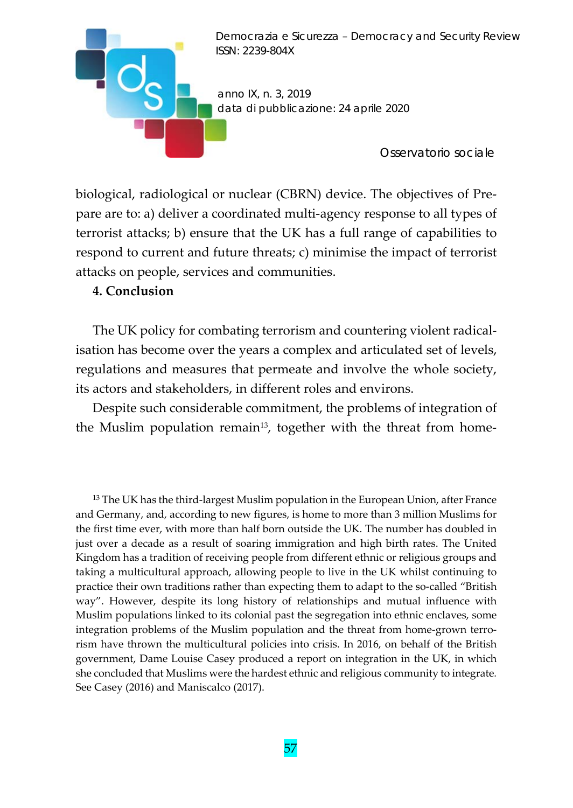

biological, radiological or nuclear (CBRN) device. The objectives of Pre‐ pare are to: a) deliver a coordinated multi‐agency response to all types of terrorist attacks; b) ensure that the UK has a full range of capabilities to respond to current and future threats; c) minimise the impact of terrorist attacks on people, services and communities.

### **4. Conclusion**

The UK policy for combating terrorism and countering violent radicalisation has become over the years a complex and articulated set of levels, regulations and measures that permeate and involve the whole society, its actors and stakeholders, in different roles and environs.

Despite such considerable commitment, the problems of integration of the Muslim population remain<sup>13</sup>, together with the threat from home-

<sup>13</sup> The UK has the third-largest Muslim population in the European Union, after France and Germany, and, according to new figures, is home to more than 3 million Muslims for the first time ever, with more than half born outside the UK. The number has doubled in just over a decade as a result of soaring immigration and high birth rates. The United Kingdom has a tradition of receiving people from different ethnic or religious groups and taking a multicultural approach, allowing people to live in the UK whilst continuing to practice their own traditions rather than expecting them to adapt to the so‐called "British way". However, despite its long history of relationships and mutual influence with Muslim populations linked to its colonial past the segregation into ethnic enclaves, some integration problems of the Muslim population and the threat from home-grown terrorism have thrown the multicultural policies into crisis. In 2016, on behalf of the British government, Dame Louise Casey produced a report on integration in the UK, in which she concluded that Muslims were the hardest ethnic and religious community to integrate*.* See Casey (2016) and Maniscalco (2017).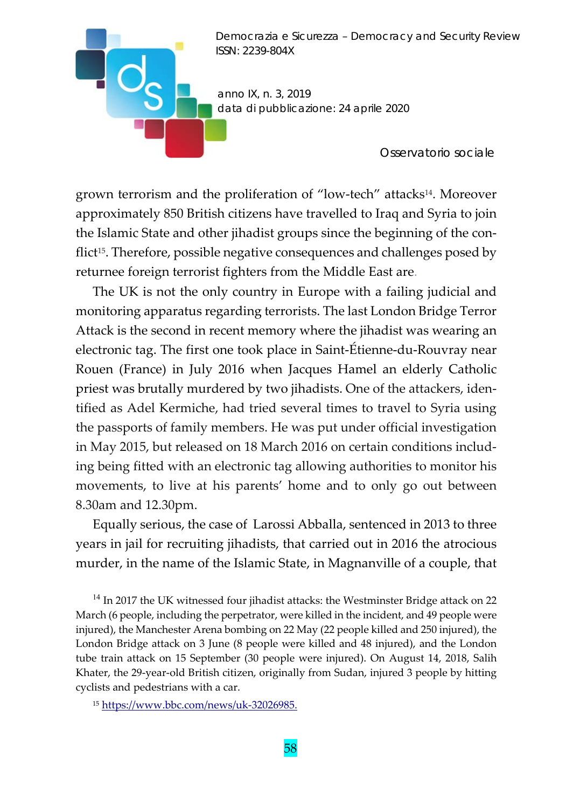*anno IX, n. 3, 2019 data di pubblicazione: 24 aprile 2020* 

*Osservatorio sociale* 

grown terrorism and the proliferation of "low-tech" attacks<sup>14</sup>. Moreover approximately 850 British citizens have travelled to Iraq and Syria to join the Islamic State and other jihadist groups since the beginning of the con‐ flict<sup>15</sup>. Therefore, possible negative consequences and challenges posed by returnee foreign terrorist fighters from the Middle East are.

**D** 

The UK is not the only country in Europe with a failing judicial and monitoring apparatus regarding terrorists. The last London Bridge Terror Attack is the second in recent memory where the jihadist was wearing an electronic tag. The first one took place in Saint‐Étienne‐du‐Rouvray near Rouen (France) in July 2016 when Jacques Hamel an elderly Catholic priest was brutally murdered by two jihadists. One of the attackers, identified as Adel Kermiche, had tried several times to travel to Syria using the passports of family members. He was put under official investigation in May 2015, but released on 18 March 2016 on certain conditions includ‐ ing being fitted with an electronic tag allowing authorities to monitor his movements, to live at his parents' home and to only go out between 8.30am and 12.30pm.

Equally serious, the case of Larossi Abballa, sentenced in 2013 to three years in jail for recruiting jihadists, that carried out in 2016 the atrocious murder, in the name of the Islamic State, in Magnanville of a couple, that

<sup>14</sup> In 2017 the UK witnessed four jihadist attacks: the Westminster Bridge attack on 22 March (6 people, including the perpetrator, were killed in the incident, and 49 people were injured), the Manchester Arena bombing on 22 May (22 people killed and 250 injured), the London Bridge attack on 3 June (8 people were killed and 48 injured), and the London tube train attack on 15 September (30 people were injured). On August 14, 2018, Salih Khater, the 29‐year‐old British citizen, originally from Sudan, injured 3 people by hitting cyclists and pedestrians with a car.

15 https://www.bbc.com/news/uk-32026985.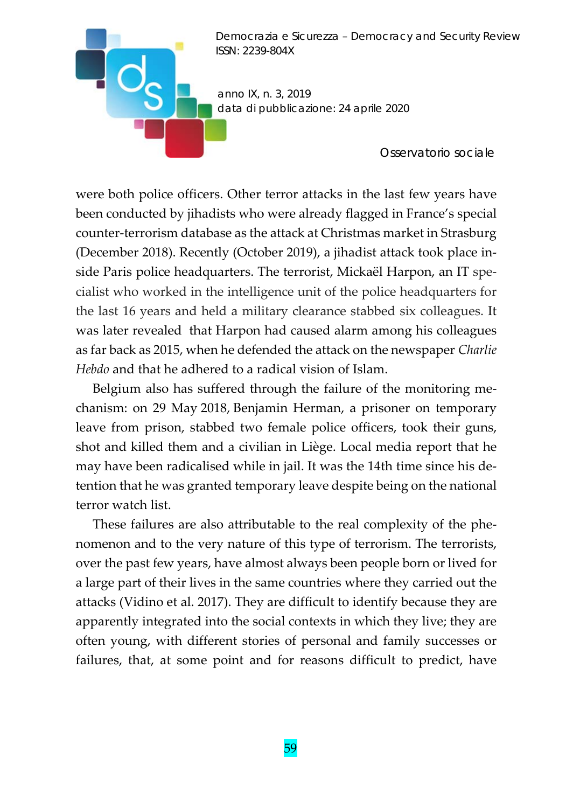

*Osservatorio sociale* 

were both police officers. Other terror attacks in the last few years have been conducted by jihadists who were already flagged in France's special counter‐terrorism database as the attack at Christmas market in Strasburg (December 2018). Recently (October 2019), a jihadist attack took place in‐ side Paris police headquarters. The terrorist, Mickaël Harpon, an IT spe‐ cialist who worked in the intelligence unit of the police headquarters for the last 16 years and held a military clearance stabbed six colleagues. It was later revealed that Harpon had caused alarm among his colleagues as far back as 2015, when he defended the attack on the newspaper *Charlie Hebdo* and that he adhered to a radical vision of Islam.

Belgium also has suffered through the failure of the monitoring me‐ chanism: on 29 May 2018, Benjamin Herman, a prisoner on temporary leave from prison, stabbed two female police officers, took their guns, shot and killed them and a civilian in Liège. Local media report that he may have been radicalised while in jail. It was the 14th time since his de‐ tention that he was granted temporary leave despite being on the national terror watch list.

These failures are also attributable to the real complexity of the phe‐ nomenon and to the very nature of this type of terrorism. The terrorists, over the past few years, have almost always been people born or lived for a large part of their lives in the same countries where they carried out the attacks (Vidino et al. 2017). They are difficult to identify because they are apparently integrated into the social contexts in which they live; they are often young, with different stories of personal and family successes or failures, that, at some point and for reasons difficult to predict, have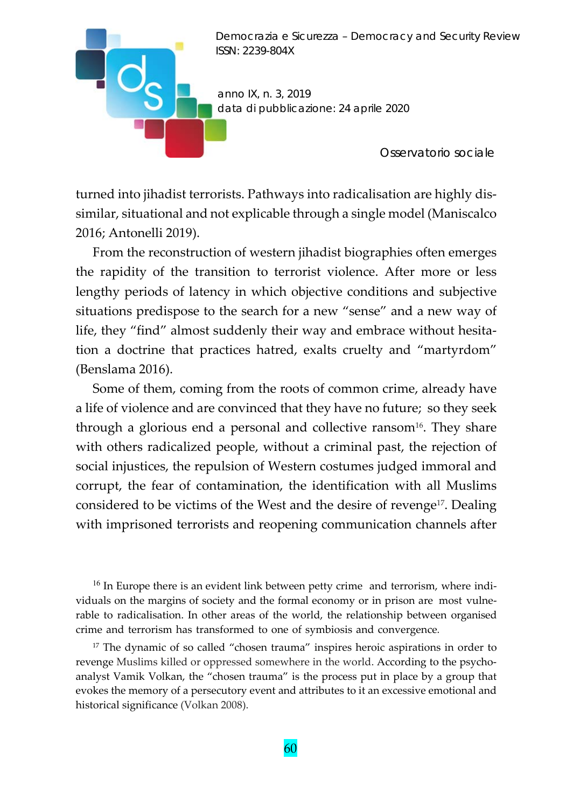

turned into jihadist terrorists. Pathways into radicalisation are highly dis‐ similar, situational and not explicable through a single model (Maniscalco 2016; Antonelli 2019).

From the reconstruction of western jihadist biographies often emerges the rapidity of the transition to terrorist violence. After more or less lengthy periods of latency in which objective conditions and subjective situations predispose to the search for a new "sense" and a new way of life, they "find" almost suddenly their way and embrace without hesitation a doctrine that practices hatred, exalts cruelty and "martyrdom" (Benslama 2016).

Some of them, coming from the roots of common crime, already have a life of violence and are convinced that they have no future; so they seek through a glorious end a personal and collective ransom<sup>16</sup>. They share with others radicalized people, without a criminal past, the rejection of social injustices, the repulsion of Western costumes judged immoral and corrupt, the fear of contamination, the identification with all Muslims considered to be victims of the West and the desire of revenge<sup>17</sup>. Dealing with imprisoned terrorists and reopening communication channels after

 $16$  In Europe there is an evident link between petty crime and terrorism, where individuals on the margins of society and the formal economy or in prison are most vulne‐ rable to radicalisation. In other areas of the world, the relationship between organised crime and terrorism has transformed to one of symbiosis and convergence*.*

<sup>17</sup> The dynamic of so called "chosen trauma" inspires heroic aspirations in order to revenge Muslims killed or oppressed somewhere in the world. According to the psychoanalyst Vamik Volkan, the "chosen trauma" is the process put in place by a group that evokes the memory of a persecutory event and attributes to it an excessive emotional and historical significance (Volkan 2008).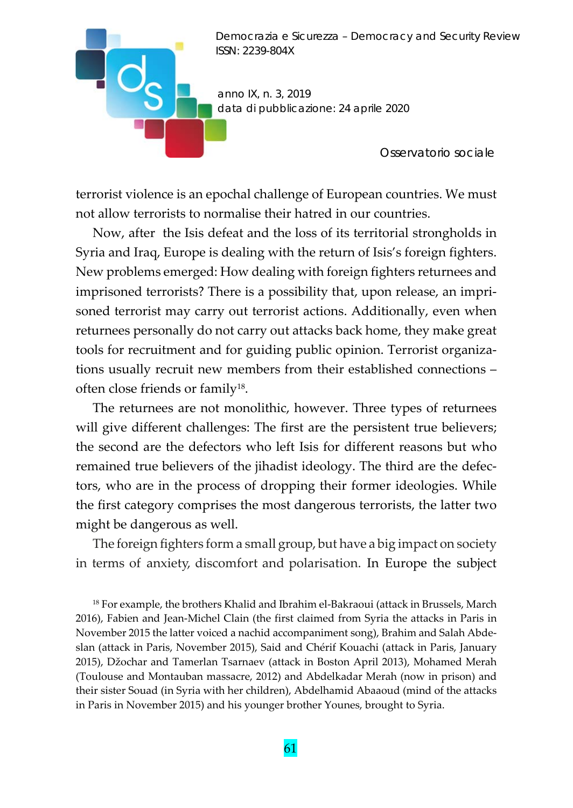

*Osservatorio sociale* 

terrorist violence is an epochal challenge of European countries. We must not allow terrorists to normalise their hatred in our countries.

 $\mathbf{H} \mathbf{C}$ 

Now, after the Isis defeat and the loss of its territorial strongholds in Syria and Iraq, Europe is dealing with the return of Isis's foreign fighters. New problems emerged: How dealing with foreign fighters returnees and imprisoned terrorists? There is a possibility that, upon release, an imprisoned terrorist may carry out terrorist actions. Additionally, even when returnees personally do not carry out attacks back home, they make great tools for recruitment and for guiding public opinion. Terrorist organiza‐ tions usually recruit new members from their established connections – often close friends or family<sup>18</sup>.

The returnees are not monolithic, however. Three types of returnees will give different challenges: The first are the persistent true believers; the second are the defectors who left Isis for different reasons but who remained true believers of the jihadist ideology. The third are the defec‐ tors, who are in the process of dropping their former ideologies. While the first category comprises the most dangerous terrorists, the latter two might be dangerous as well.

The foreign fighters form a small group, but have a big impact on society in terms of anxiety, discomfort and polarisation. In Europe the subject

<sup>18</sup> For example, the brothers Khalid and Ibrahim el-Bakraoui (attack in Brussels, March 2016), Fabien and Jean‐Michel Clain (the first claimed from Syria the attacks in Paris in November 2015 the latter voiced a nachid accompaniment song), Brahim and Salah Abde‐ slan (attack in Paris, November 2015), Said and Chérif Kouachi (attack in Paris, January 2015), Džochar and Tamerlan Tsarnaev (attack in Boston April 2013), Mohamed Merah (Toulouse and Montauban massacre, 2012) and Abdelkadar Merah (now in prison) and their sister Souad (in Syria with her children), Abdelhamid Abaaoud (mind of the attacks in Paris in November 2015) and his younger brother Younes, brought to Syria.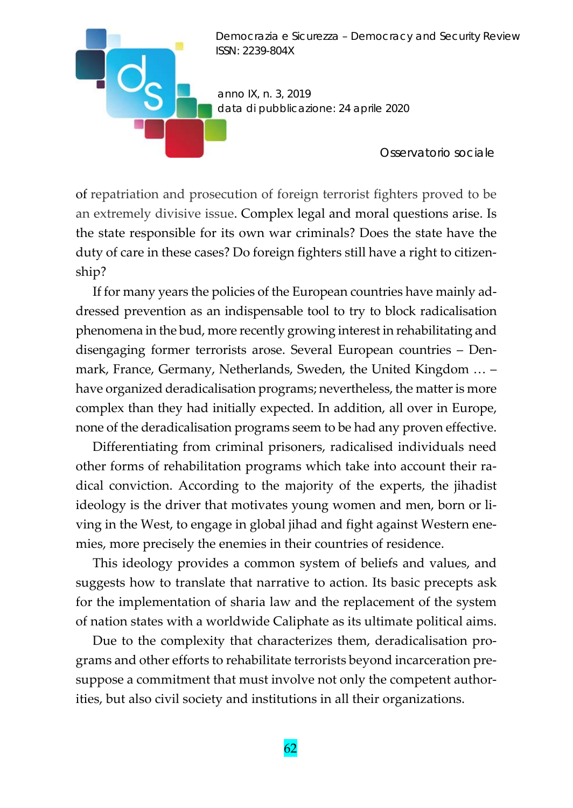

*Osservatorio sociale* 

of repatriation and prosecution of foreign terrorist fighters proved to be an extremely divisive issue. Complex legal and moral questions arise. Is the state responsible for its own war criminals? Does the state have the duty of care in these cases? Do foreign fighters still have a right to citizenship?

If for many years the policies of the European countries have mainly ad‐ dressed prevention as an indispensable tool to try to block radicalisation phenomena in the bud, more recently growing interest in rehabilitating and disengaging former terrorists arose. Several European countries – Den‐ mark, France, Germany, Netherlands, Sweden, the United Kingdom … – have organized deradicalisation programs; nevertheless, the matter is more complex than they had initially expected. In addition, all over in Europe, none of the deradicalisation programs seem to be had any proven effective.

Differentiating from criminal prisoners, radicalised individuals need other forms of rehabilitation programs which take into account their ra‐ dical conviction. According to the majority of the experts, the jihadist ideology is the driver that motivates young women and men, born or living in the West, to engage in global jihad and fight against Western ene‐ mies, more precisely the enemies in their countries of residence.

This ideology provides a common system of beliefs and values, and suggests how to translate that narrative to action. Its basic precepts ask for the implementation of sharia law and the replacement of the system of nation states with a worldwide Caliphate as its ultimate political aims.

Due to the complexity that characterizes them, deradicalisation programs and other efforts to rehabilitate terrorists beyond incarceration pre‐ suppose a commitment that must involve not only the competent authorities, but also civil society and institutions in all their organizations.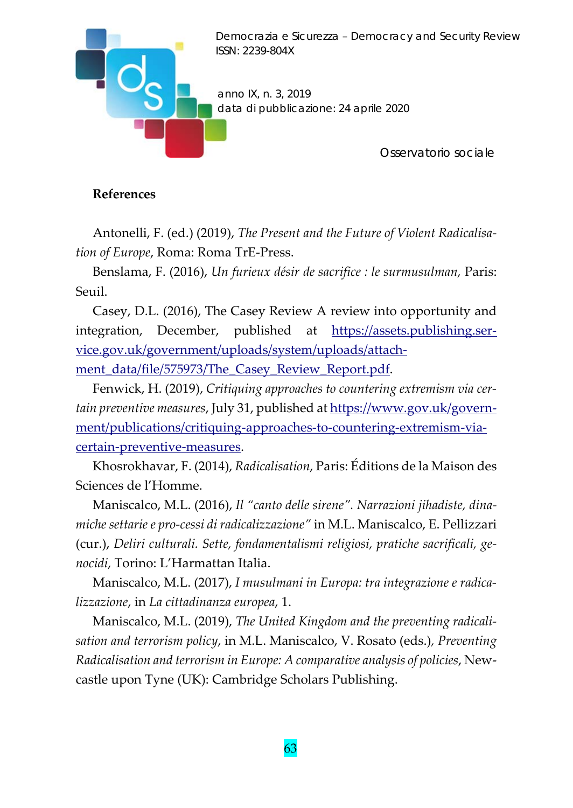

## **References**

Antonelli, F. (ed.) (2019), *The Present and the Future of Violent Radicalisa‐ tion of Europe*, Roma: Roma TrE‐Press.

Benslama, F. (2016), *Un furieux désir de sacrifice : le surmusulman,* Paris: Seuil.

Casey, D.L. (2016), The Casey Review A review into opportunity and integration, December, published at https://assets.publishing.service.gov.uk/government/uploads/system/uploads/attach‐ ment\_data/file/575973/The\_Casey\_Review\_Report.pdf.

Fenwick, H. (2019), *Critiquing approaches to countering extremism via cer‐ tain preventive measures*, July 31, published at https://www.gov.uk/govern‐ ment/publications/critiquing-approaches-to-countering-extremism-viacertain‐preventive‐measures.

Khosrokhavar, F. (2014), *Radicalisation*, Paris: Éditions de la Maison des Sciences de l'Homme.

Maniscalco, M.L. (2016), *Il "canto delle sirene". Narrazioni jihadiste, dina‐ miche settarie e pro‐cessi di radicalizzazione"* in M.L. Maniscalco, E. Pellizzari (cur.), *Deliri culturali. Sette, fondamentalismi religiosi, pratiche sacrificali, ge‐ nocidi*, Torino: L'Harmattan Italia.

Maniscalco, M.L. (2017), *I musulmani in Europa: tra integrazione e radica‐ lizzazione*, in *La cittadinanza europea*, 1.

Maniscalco, M.L. (2019), *The United Kingdom and the preventing radicali‐ sation and terrorism policy*, in M.L. Maniscalco, V. Rosato (eds.)*, Preventing Radicalisation and terrorism in Europe: A comparative analysis of policies*, New‐ castle upon Tyne (UK): Cambridge Scholars Publishing.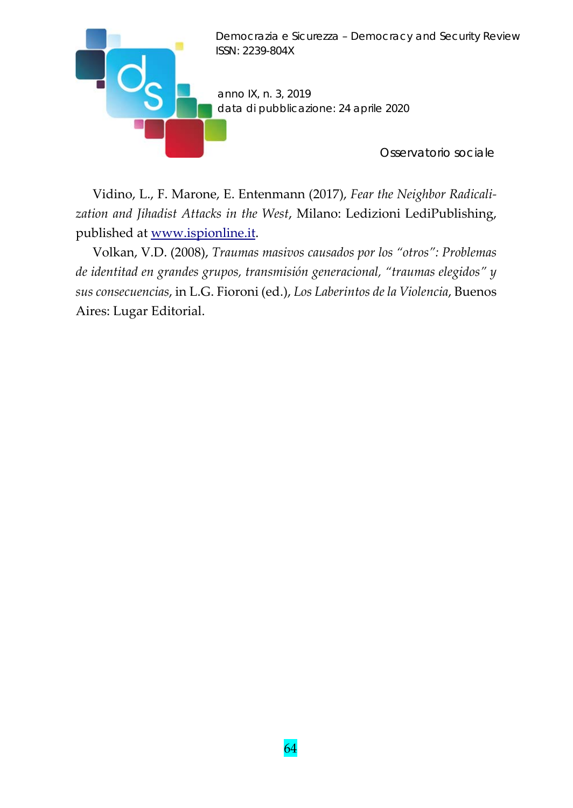

Vidino, L., F. Marone, E. Entenmann (2017), *Fear the Neighbor Radicali‐ zation and Jihadist Attacks in the West*, Milano: Ledizioni LediPublishing, published at www.ispionline.it.

Volkan, V.D. (2008), *Traumas masivos causados por los "otros": Problemas de identitad en grandes grupos, transmisión generacional, "traumas elegidos" y sus consecuencias*, in L.G. Fioroni (ed.), *Los Laberintos de la Violencia*, Buenos Aires: Lugar Editorial.